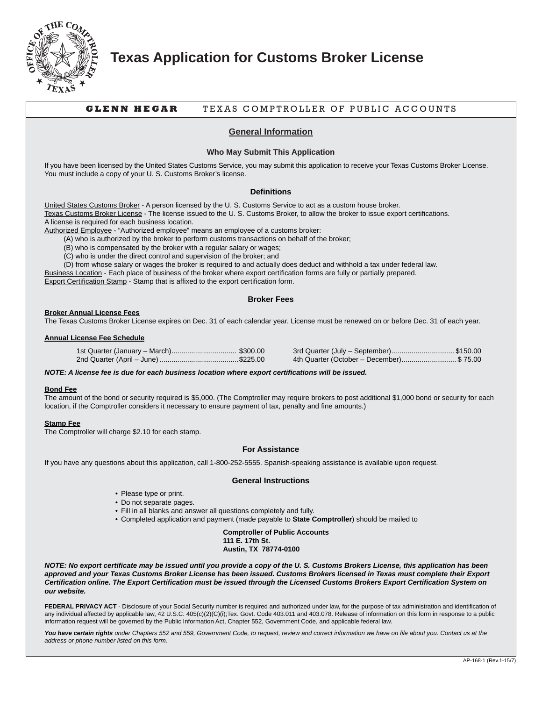

## **Texas Application for Customs Broker License**

## **GLENN HEGAR** TEXAS COMPTROLLER OF PUBLIC ACCOUNTS

### **General Information**

#### **Who May Submit This Application**

If you have been licensed by the United States Customs Service, you may submit this application to receive your Texas Customs Broker License. You must include a copy of your U. S. Customs Broker's license.

#### **Definitions**

United States Customs Broker - A person licensed by the U. S. Customs Service to act as a custom house broker. Texas Customs Broker License - The license issued to the U. S. Customs Broker, to allow the broker to issue export certifications. A license is required for each business location.

Authorized Employee - "Authorized employee" means an employee of a customs broker:

(A) who is authorized by the broker to perform customs transactions on behalf of the broker;

(B) who is compensated by the broker with a regular salary or wages;

(C) who is under the direct control and supervision of the broker; and

(D) from whose salary or wages the broker is required to and actually does deduct and withhold a tax under federal law.

Business Location - Each place of business of the broker where export certification forms are fully or partially prepared.

Export Certification Stamp - Stamp that is affixed to the export certification form.

#### **Broker Fees**

#### **Broker Annual License Fees**

The Texas Customs Broker License expires on Dec. 31 of each calendar year. License must be renewed on or before Dec. 31 of each year.

#### **Annual License Fee Schedule**

| 3rd Quarter (July – September)\$150.00   |
|------------------------------------------|
| 4th Quarter (October – December)\$ 75.00 |

*NOTE: A license fee is due for each business location where export certifications will be issued.*

#### **Bond Fee**

The amount of the bond or security required is \$5,000. (The Comptroller may require brokers to post additional \$1,000 bond or security for each location, if the Comptroller considers it necessary to ensure payment of tax, penalty and fine amounts.)

#### **Stamp Fee**

The Comptroller will charge \$2.10 for each stamp.

#### **For Assistance**

If you have any questions about this application, call 1-800-252-5555. Spanish-speaking assistance is available upon request.

#### **General Instructions**

- Please type or print.
- Do not separate pages.
- Fill in all blanks and answer all questions completely and fully.
- Completed application and payment (made payable to **State Comptroller**) should be mailed to

**Comptroller of Public Accounts 111 E. 17th St. Austin, TX 78774-0100**

*NOTE: No export certificate may be issued until you provide a copy of the U. S. Customs Brokers License, this application has been approved and your Texas Customs Broker License has been issued. Customs Brokers licensed in Texas must complete their Export Certification online. The Export Certification must be issued through the Licensed Customs Brokers Export Certification System on our website.*

FEDERAL PRIVACY ACT - Disclosure of your Social Security number is required and authorized under law, for the purpose of tax administration and identification of any individual affected by applicable law, 42 U.S.C. 405(c)(2)(C)(i);Tex. Govt. Code 403.011 and 403.078. Release of information on this form in response to a public information request will be governed by the Public Information Act, Chapter 552, Government Code, and applicable federal law.

You have certain rights under Chapters 552 and 559, Government Code, to request, review and correct information we have on file about you. Contact us at the *address or phone number listed on this form.*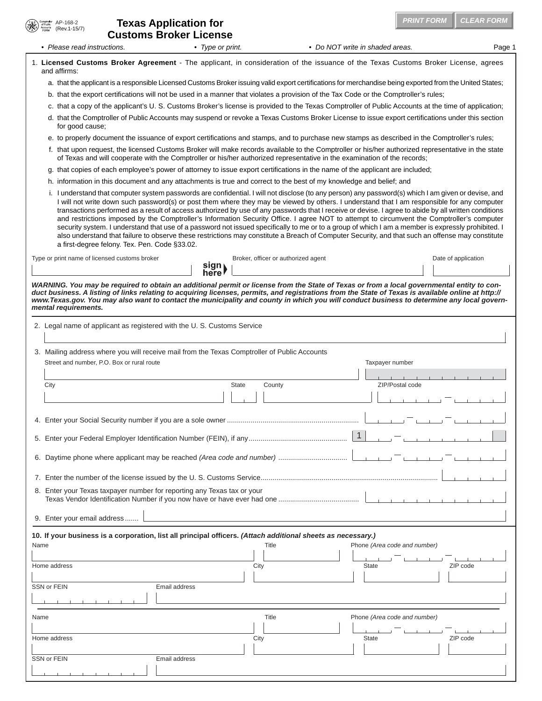|      | AP-168-2<br>Comptroller<br>of Public<br>lccounts<br>FORM<br>(Rev. 1-15/7) | <b>Texas Application for</b><br><b>Customs Broker License</b> |                                                                                              |                 |                                                                                                                     | <b>PRINT FORM</b>                                                                                                                                                                                                                                                                                                                                                                                                                                                                                                                                                                                                                                                                                                                                           | <b>CLEAR FORM</b>   |
|------|---------------------------------------------------------------------------|---------------------------------------------------------------|----------------------------------------------------------------------------------------------|-----------------|---------------------------------------------------------------------------------------------------------------------|-------------------------------------------------------------------------------------------------------------------------------------------------------------------------------------------------------------------------------------------------------------------------------------------------------------------------------------------------------------------------------------------------------------------------------------------------------------------------------------------------------------------------------------------------------------------------------------------------------------------------------------------------------------------------------------------------------------------------------------------------------------|---------------------|
|      | • Please read instructions.                                               |                                                               | • Type or print.                                                                             |                 |                                                                                                                     | • Do NOT write in shaded areas.                                                                                                                                                                                                                                                                                                                                                                                                                                                                                                                                                                                                                                                                                                                             | Page 1              |
|      | and affirms:                                                              |                                                               |                                                                                              |                 |                                                                                                                     | 1. Licensed Customs Broker Agreement - The applicant, in consideration of the issuance of the Texas Customs Broker License, agrees                                                                                                                                                                                                                                                                                                                                                                                                                                                                                                                                                                                                                          |                     |
|      |                                                                           |                                                               |                                                                                              |                 |                                                                                                                     | a. that the applicant is a responsible Licensed Customs Broker issuing valid export certifications for merchandise being exported from the United States;                                                                                                                                                                                                                                                                                                                                                                                                                                                                                                                                                                                                   |                     |
|      |                                                                           |                                                               |                                                                                              |                 |                                                                                                                     | b. that the export certifications will not be used in a manner that violates a provision of the Tax Code or the Comptroller's rules;                                                                                                                                                                                                                                                                                                                                                                                                                                                                                                                                                                                                                        |                     |
|      |                                                                           |                                                               |                                                                                              |                 |                                                                                                                     | c. that a copy of the applicant's U.S. Customs Broker's license is provided to the Texas Comptroller of Public Accounts at the time of application;                                                                                                                                                                                                                                                                                                                                                                                                                                                                                                                                                                                                         |                     |
|      | for good cause;                                                           |                                                               |                                                                                              |                 |                                                                                                                     | d. that the Comptroller of Public Accounts may suspend or revoke a Texas Customs Broker License to issue export certifications under this section                                                                                                                                                                                                                                                                                                                                                                                                                                                                                                                                                                                                           |                     |
|      |                                                                           |                                                               |                                                                                              |                 |                                                                                                                     | e. to properly document the issuance of export certifications and stamps, and to purchase new stamps as described in the Comptroller's rules;                                                                                                                                                                                                                                                                                                                                                                                                                                                                                                                                                                                                               |                     |
|      |                                                                           |                                                               |                                                                                              |                 |                                                                                                                     | f. that upon request, the licensed Customs Broker will make records available to the Comptroller or his/her authorized representative in the state<br>of Texas and will cooperate with the Comptroller or his/her authorized representative in the examination of the records;                                                                                                                                                                                                                                                                                                                                                                                                                                                                              |                     |
|      |                                                                           |                                                               |                                                                                              |                 |                                                                                                                     | g. that copies of each employee's power of attorney to issue export certifications in the name of the applicant are included;                                                                                                                                                                                                                                                                                                                                                                                                                                                                                                                                                                                                                               |                     |
|      |                                                                           |                                                               |                                                                                              |                 | h. information in this document and any attachments is true and correct to the best of my knowledge and belief; and | i. I understand that computer system passwords are confidential. I will not disclose (to any person) any password(s) which I am given or devise, and                                                                                                                                                                                                                                                                                                                                                                                                                                                                                                                                                                                                        |                     |
|      |                                                                           | a first-degree felony. Tex. Pen. Code §33.02.                 |                                                                                              |                 |                                                                                                                     | I will not write down such password(s) or post them where they may be viewed by others. I understand that I am responsible for any computer<br>transactions performed as a result of access authorized by use of any passwords that I receive or devise. I agree to abide by all written conditions<br>and restrictions imposed by the Comptroller's Information Security Office. I agree NOT to attempt to circumvent the Comptroller's computer<br>security system. I understand that use of a password not issued specifically to me or to a group of which I am a member is expressly prohibited. I<br>also understand that failure to observe these restrictions may constitute a Breach of Computer Security, and that such an offense may constitute |                     |
|      | Type or print name of licensed customs broker                             |                                                               | sign<br>here!                                                                                |                 | Broker, officer or authorized agent                                                                                 |                                                                                                                                                                                                                                                                                                                                                                                                                                                                                                                                                                                                                                                                                                                                                             | Date of application |
|      | mental requirements.                                                      |                                                               |                                                                                              |                 |                                                                                                                     | WARNING. You may be required to obtain an additional permit or license from the State of Texas or from a local governmental entity to con-<br>duct business. A listing of links relating to acquiring licenses, permits, and registrations from the State of Texas is available online at http://<br>www.Texas.gov. You may also want to contact the municipality and county in which you will conduct business to determine any local govern-                                                                                                                                                                                                                                                                                                              |                     |
|      |                                                                           |                                                               | 2. Legal name of applicant as registered with the U.S. Customs Service                       |                 |                                                                                                                     |                                                                                                                                                                                                                                                                                                                                                                                                                                                                                                                                                                                                                                                                                                                                                             |                     |
|      | Street and number, P.O. Box or rural route                                |                                                               | 3. Mailing address where you will receive mail from the Texas Comptroller of Public Accounts |                 |                                                                                                                     | Taxpayer number                                                                                                                                                                                                                                                                                                                                                                                                                                                                                                                                                                                                                                                                                                                                             |                     |
|      | City                                                                      |                                                               |                                                                                              | County<br>State |                                                                                                                     | ZIP/Postal code                                                                                                                                                                                                                                                                                                                                                                                                                                                                                                                                                                                                                                                                                                                                             |                     |
|      |                                                                           |                                                               |                                                                                              |                 |                                                                                                                     |                                                                                                                                                                                                                                                                                                                                                                                                                                                                                                                                                                                                                                                                                                                                                             |                     |
|      |                                                                           |                                                               |                                                                                              |                 |                                                                                                                     | 1                                                                                                                                                                                                                                                                                                                                                                                                                                                                                                                                                                                                                                                                                                                                                           |                     |
|      |                                                                           |                                                               |                                                                                              |                 |                                                                                                                     |                                                                                                                                                                                                                                                                                                                                                                                                                                                                                                                                                                                                                                                                                                                                                             |                     |
|      |                                                                           |                                                               |                                                                                              |                 |                                                                                                                     |                                                                                                                                                                                                                                                                                                                                                                                                                                                                                                                                                                                                                                                                                                                                                             |                     |
|      |                                                                           |                                                               | 8. Enter your Texas taxpayer number for reporting any Texas tax or your                      |                 |                                                                                                                     |                                                                                                                                                                                                                                                                                                                                                                                                                                                                                                                                                                                                                                                                                                                                                             |                     |
|      | 9. Enter your email address                                               |                                                               |                                                                                              |                 |                                                                                                                     |                                                                                                                                                                                                                                                                                                                                                                                                                                                                                                                                                                                                                                                                                                                                                             |                     |
|      |                                                                           |                                                               |                                                                                              |                 | 10. If your business is a corporation, list all principal officers. (Attach additional sheets as necessary.)        |                                                                                                                                                                                                                                                                                                                                                                                                                                                                                                                                                                                                                                                                                                                                                             |                     |
| Name |                                                                           |                                                               |                                                                                              | Title           |                                                                                                                     | Phone (Area code and number)                                                                                                                                                                                                                                                                                                                                                                                                                                                                                                                                                                                                                                                                                                                                |                     |
|      | Home address                                                              |                                                               |                                                                                              |                 |                                                                                                                     |                                                                                                                                                                                                                                                                                                                                                                                                                                                                                                                                                                                                                                                                                                                                                             | ZIP code            |
|      |                                                                           |                                                               |                                                                                              | City            |                                                                                                                     | <b>State</b>                                                                                                                                                                                                                                                                                                                                                                                                                                                                                                                                                                                                                                                                                                                                                |                     |
|      | SSN or FEIN                                                               |                                                               | Email address                                                                                |                 |                                                                                                                     |                                                                                                                                                                                                                                                                                                                                                                                                                                                                                                                                                                                                                                                                                                                                                             |                     |
|      |                                                                           |                                                               |                                                                                              |                 |                                                                                                                     |                                                                                                                                                                                                                                                                                                                                                                                                                                                                                                                                                                                                                                                                                                                                                             |                     |
|      |                                                                           |                                                               |                                                                                              |                 |                                                                                                                     |                                                                                                                                                                                                                                                                                                                                                                                                                                                                                                                                                                                                                                                                                                                                                             |                     |
| Name |                                                                           |                                                               |                                                                                              | Title           |                                                                                                                     | Phone (Area code and number)                                                                                                                                                                                                                                                                                                                                                                                                                                                                                                                                                                                                                                                                                                                                |                     |
|      | Home address                                                              |                                                               |                                                                                              | City            |                                                                                                                     | <b>State</b>                                                                                                                                                                                                                                                                                                                                                                                                                                                                                                                                                                                                                                                                                                                                                | ZIP code            |
|      |                                                                           |                                                               |                                                                                              |                 |                                                                                                                     |                                                                                                                                                                                                                                                                                                                                                                                                                                                                                                                                                                                                                                                                                                                                                             |                     |
|      | SSN or FEIN                                                               |                                                               | Email address                                                                                |                 |                                                                                                                     |                                                                                                                                                                                                                                                                                                                                                                                                                                                                                                                                                                                                                                                                                                                                                             |                     |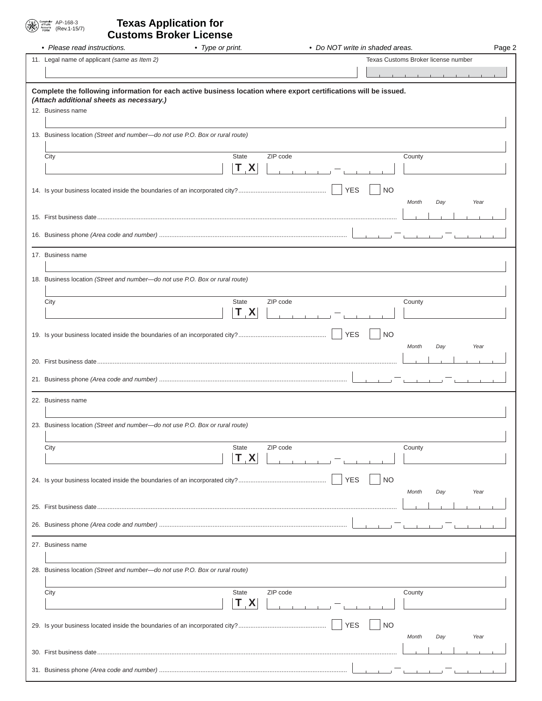# $\begin{array}{|c|c|} \hline \mathbb{T}_{\mathsf{A}} & \stackrel{\text{Comptolds}}{\text{of Public}} & \mathsf{AP-168\text{-}3} \\ \hline \mathbb{S}_{\mathsf{A}} & \stackrel{\text{of Public}}{\text{A}} & \mathsf{(Rev.1\text{-}15/7)} \\ \hline \end{array}$

## (Rev.1-15/7) **Texas Application for Customs Broker License**

| • Please read instructions.                                                                                                                                  | • Type or print. | • Do NOT write in shaded areas. |           |                                     | Page 2 |
|--------------------------------------------------------------------------------------------------------------------------------------------------------------|------------------|---------------------------------|-----------|-------------------------------------|--------|
| 11. Legal name of applicant (same as Item 2)                                                                                                                 |                  |                                 |           | Texas Customs Broker license number |        |
|                                                                                                                                                              |                  |                                 |           |                                     |        |
|                                                                                                                                                              |                  |                                 |           |                                     |        |
| Complete the following information for each active business location where export certifications will be issued.<br>(Attach additional sheets as necessary.) |                  |                                 |           |                                     |        |
| 12. Business name                                                                                                                                            |                  |                                 |           |                                     |        |
|                                                                                                                                                              |                  |                                 |           |                                     |        |
| 13. Business location (Street and number-do not use P.O. Box or rural route)                                                                                 |                  |                                 |           |                                     |        |
|                                                                                                                                                              |                  |                                 |           |                                     |        |
| City                                                                                                                                                         | State            | ZIP code                        |           | County                              |        |
|                                                                                                                                                              | $T_{\perp}$ X    |                                 |           |                                     |        |
|                                                                                                                                                              |                  | <b>YES</b>                      | <b>NO</b> |                                     |        |
|                                                                                                                                                              |                  |                                 |           | Year<br>Month<br>Day                |        |
|                                                                                                                                                              |                  |                                 |           |                                     |        |
|                                                                                                                                                              |                  |                                 |           |                                     |        |
|                                                                                                                                                              |                  |                                 |           |                                     |        |
| 17. Business name                                                                                                                                            |                  |                                 |           |                                     |        |
|                                                                                                                                                              |                  |                                 |           |                                     |        |
| 18. Business location (Street and number-do not use P.O. Box or rural route)                                                                                 |                  |                                 |           |                                     |        |
|                                                                                                                                                              |                  |                                 |           |                                     |        |
| City                                                                                                                                                         | <b>State</b>     | ZIP code                        |           | County                              |        |
|                                                                                                                                                              | T X              |                                 |           |                                     |        |
|                                                                                                                                                              |                  |                                 |           |                                     |        |
|                                                                                                                                                              |                  | <b>YES</b>                      | <b>NO</b> |                                     |        |
|                                                                                                                                                              |                  |                                 |           | Month<br>Day<br>Year                |        |
|                                                                                                                                                              |                  |                                 |           |                                     |        |
|                                                                                                                                                              |                  |                                 |           |                                     |        |
|                                                                                                                                                              |                  |                                 |           |                                     |        |
| 22. Business name                                                                                                                                            |                  |                                 |           |                                     |        |
|                                                                                                                                                              |                  |                                 |           |                                     |        |
| 23. Business location (Street and number-do not use P.O. Box or rural route)                                                                                 |                  |                                 |           |                                     |        |
| City                                                                                                                                                         | <b>State</b>     | ZIP code                        |           | County                              |        |
|                                                                                                                                                              | T X              |                                 |           |                                     |        |
|                                                                                                                                                              |                  |                                 |           |                                     |        |
|                                                                                                                                                              |                  | <b>YES</b>                      | <b>NO</b> |                                     |        |
|                                                                                                                                                              |                  |                                 |           | Month<br>Year<br>Day                |        |
|                                                                                                                                                              |                  |                                 |           |                                     |        |
|                                                                                                                                                              |                  |                                 |           |                                     |        |
|                                                                                                                                                              |                  |                                 |           |                                     |        |
| 27. Business name                                                                                                                                            |                  |                                 |           |                                     |        |
|                                                                                                                                                              |                  |                                 |           |                                     |        |
| 28. Business location (Street and number-do not use P.O. Box or rural route)                                                                                 |                  |                                 |           |                                     |        |
|                                                                                                                                                              |                  |                                 |           |                                     |        |
| City                                                                                                                                                         | <b>State</b>     | ZIP code                        |           | County                              |        |
|                                                                                                                                                              | T X              |                                 |           |                                     |        |
|                                                                                                                                                              |                  | <b>YES</b>                      | <b>NO</b> |                                     |        |
|                                                                                                                                                              |                  |                                 |           | Month<br>Day<br>Year                |        |
|                                                                                                                                                              |                  |                                 |           |                                     |        |
|                                                                                                                                                              |                  |                                 |           |                                     |        |
|                                                                                                                                                              |                  |                                 |           |                                     |        |